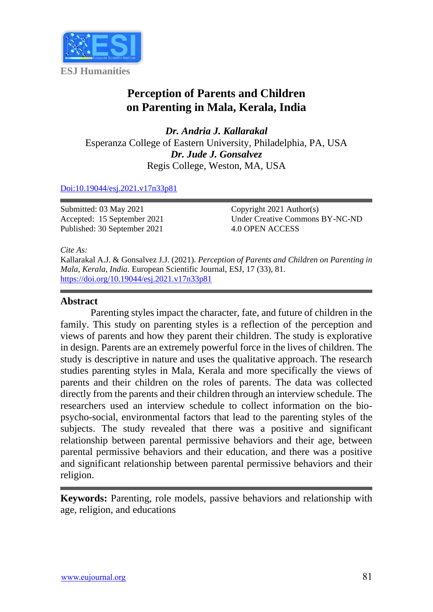

# **Perception of Parents and Children on Parenting in Mala, Kerala, India**

*Dr. Andria J. Kallarakal* Esperanza College of Eastern University, Philadelphia, PA, USA *Dr. Jude J. Gonsalvez* Regis College, Weston, MA, USA

#### [Doi:10.19044/esj.2021.v17n33p81](https://doi.org/10.19044/esj.2021.v17n33p81)

Submitted: 03 May 2021 Accepted: 15 September 2021 Published: 30 September 2021

Copyright 2021 Author(s) Under Creative Commons BY-NC-ND 4.0 OPEN ACCESS

*Cite As:*

Kallarakal A.J. & Gonsalvez J.J. (2021). *Perception of Parents and Children on Parenting in Mala, Kerala, India.* European Scientific Journal, ESJ, 17 (33), 81. <https://doi.org/10.19044/esj.2021.v17n33p81>

#### **Abstract**

Parenting styles impact the character, fate, and future of children in the family. This study on parenting styles is a reflection of the perception and views of parents and how they parent their children. The study is explorative in design. Parents are an extremely powerful force in the lives of children. The study is descriptive in nature and uses the qualitative approach. The research studies parenting styles in Mala, Kerala and more specifically the views of parents and their children on the roles of parents. The data was collected directly from the parents and their children through an interview schedule. The researchers used an interview schedule to collect information on the biopsycho-social, environmental factors that lead to the parenting styles of the subjects. The study revealed that there was a positive and significant relationship between parental permissive behaviors and their age, between parental permissive behaviors and their education, and there was a positive and significant relationship between parental permissive behaviors and their religion.

**Keywords:** Parenting, role models, passive behaviors and relationship with age, religion, and educations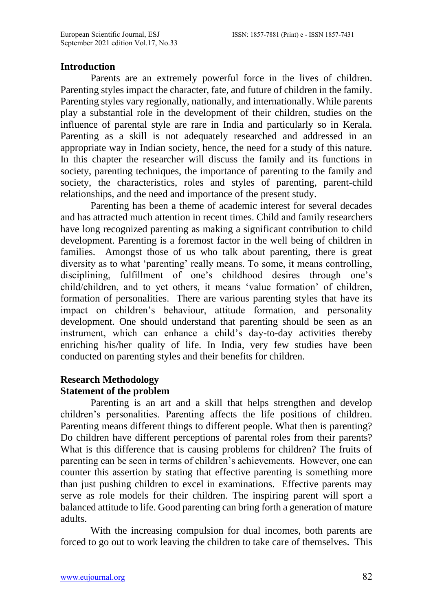#### **Introduction**

Parents are an extremely powerful force in the lives of children. Parenting styles impact the character, fate, and future of children in the family. Parenting styles vary regionally, nationally, and internationally. While parents play a substantial role in the development of their children, studies on the influence of parental style are rare in India and particularly so in Kerala. Parenting as a skill is not adequately researched and addressed in an appropriate way in Indian society, hence, the need for a study of this nature. In this chapter the researcher will discuss the family and its functions in society, parenting techniques, the importance of parenting to the family and society, the characteristics, roles and styles of parenting, parent-child relationships, and the need and importance of the present study.

Parenting has been a theme of academic interest for several decades and has attracted much attention in recent times. Child and family researchers have long recognized parenting as making a significant contribution to child development. Parenting is a foremost factor in the well being of children in families. Amongst those of us who talk about parenting, there is great diversity as to what 'parenting' really means. To some, it means controlling, disciplining, fulfillment of one's childhood desires through one's child/children, and to yet others, it means 'value formation' of children, formation of personalities. There are various parenting styles that have its impact on children's behaviour, attitude formation, and personality development. One should understand that parenting should be seen as an instrument, which can enhance a child's day-to-day activities thereby enriching his/her quality of life. In India, very few studies have been conducted on parenting styles and their benefits for children.

## **Research Methodology Statement of the problem**

Parenting is an art and a skill that helps strengthen and develop children's personalities. Parenting affects the life positions of children. Parenting means different things to different people. What then is parenting? Do children have different perceptions of parental roles from their parents? What is this difference that is causing problems for children? The fruits of parenting can be seen in terms of children's achievements. However, one can counter this assertion by stating that effective parenting is something more than just pushing children to excel in examinations. Effective parents may serve as role models for their children. The inspiring parent will sport a balanced attitude to life. Good parenting can bring forth a generation of mature adults.

With the increasing compulsion for dual incomes, both parents are forced to go out to work leaving the children to take care of themselves. This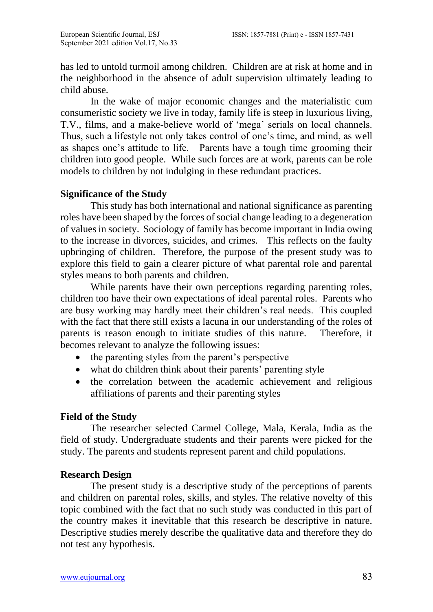has led to untold turmoil among children. Children are at risk at home and in the neighborhood in the absence of adult supervision ultimately leading to child abuse.

In the wake of major economic changes and the materialistic cum consumeristic society we live in today, family life is steep in luxurious living, T.V., films, and a make-believe world of 'mega' serials on local channels. Thus, such a lifestyle not only takes control of one's time, and mind, as well as shapes one's attitude to life. Parents have a tough time grooming their children into good people. While such forces are at work, parents can be role models to children by not indulging in these redundant practices.

#### **Significance of the Study**

This study has both international and national significance as parenting roles have been shaped by the forces of social change leading to a degeneration of values in society. Sociology of family has become important in India owing to the increase in divorces, suicides, and crimes. This reflects on the faulty upbringing of children. Therefore, the purpose of the present study was to explore this field to gain a clearer picture of what parental role and parental styles means to both parents and children.

While parents have their own perceptions regarding parenting roles, children too have their own expectations of ideal parental roles. Parents who are busy working may hardly meet their children's real needs. This coupled with the fact that there still exists a lacuna in our understanding of the roles of parents is reason enough to initiate studies of this nature. Therefore, it becomes relevant to analyze the following issues:

- the parenting styles from the parent's perspective
- what do children think about their parents' parenting style
- the correlation between the academic achievement and religious affiliations of parents and their parenting styles

#### **Field of the Study**

The researcher selected Carmel College, Mala, Kerala, India as the field of study. Undergraduate students and their parents were picked for the study. The parents and students represent parent and child populations.

## **Research Design**

The present study is a descriptive study of the perceptions of parents and children on parental roles, skills, and styles. The relative novelty of this topic combined with the fact that no such study was conducted in this part of the country makes it inevitable that this research be descriptive in nature. Descriptive studies merely describe the qualitative data and therefore they do not test any hypothesis.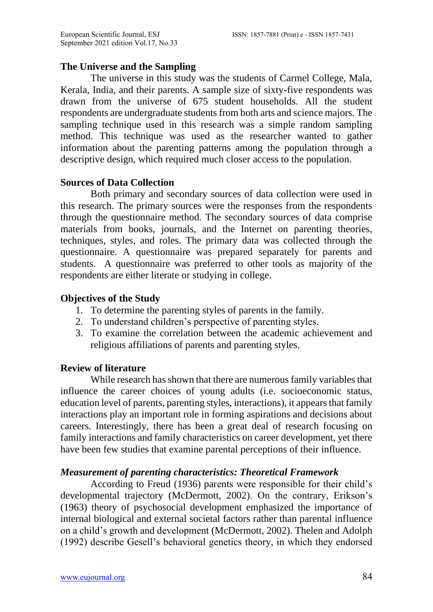#### **The Universe and the Sampling**

The universe in this study was the students of Carmel College, Mala, Kerala, India, and their parents. A sample size of sixty-five respondents was drawn from the universe of 675 student households. All the student respondents are undergraduate students from both arts and science majors. The sampling technique used in this research was a simple random sampling method. This technique was used as the researcher wanted to gather information about the parenting patterns among the population through a descriptive design, which required much closer access to the population.

## **Sources of Data Collection**

Both primary and secondary sources of data collection were used in this research. The primary sources were the responses from the respondents through the questionnaire method. The secondary sources of data comprise materials from books, journals, and the Internet on parenting theories, techniques, styles, and roles. The primary data was collected through the questionnaire. A questionnaire was prepared separately for parents and students. A questionnaire was preferred to other tools as majority of the respondents are either literate or studying in college.

## **Objectives of the Study**

- 1. To determine the parenting styles of parents in the family.
- 2. To understand children's perspective of parenting styles.
- 3. To examine the correlation between the academic achievement and religious affiliations of parents and parenting styles.

## **Review of literature**

While research has shown that there are numerous family variables that influence the career choices of young adults (i.e. socioeconomic status, education level of parents, parenting styles, interactions), it appears that family interactions play an important role in forming aspirations and decisions about careers. Interestingly, there has been a great deal of research focusing on family interactions and family characteristics on career development, yet there have been few studies that examine parental perceptions of their influence.

#### *Measurement of parenting characteristics: Theoretical Framework*

According to Freud (1936) parents were responsible for their child's developmental trajectory (McDermott, 2002). On the contrary, Erikson's (1963) theory of psychosocial development emphasized the importance of internal biological and external societal factors rather than parental influence on a child's growth and development (McDermott, 2002). Thelen and Adolph (1992) describe Gesell's behavioral genetics theory, in which they endorsed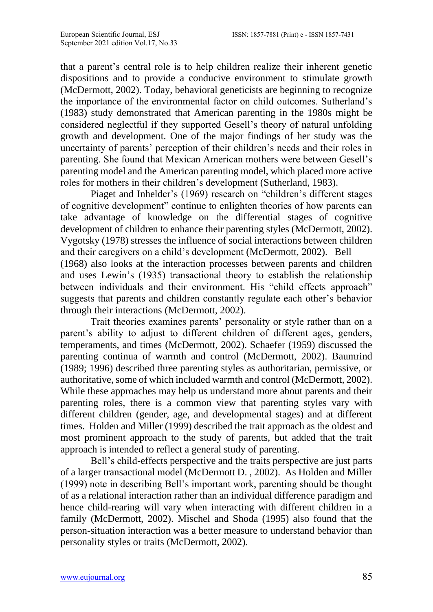that a parent's central role is to help children realize their inherent genetic dispositions and to provide a conducive environment to stimulate growth (McDermott, 2002). Today, behavioral geneticists are beginning to recognize the importance of the environmental factor on child outcomes. Sutherland's (1983) study demonstrated that American parenting in the 1980s might be considered neglectful if they supported Gesell's theory of natural unfolding growth and development. One of the major findings of her study was the uncertainty of parents' perception of their children's needs and their roles in parenting. She found that Mexican American mothers were between Gesell's parenting model and the American parenting model, which placed more active roles for mothers in their children's development (Sutherland, 1983).

Piaget and Inhelder's (1969) research on "children's different stages of cognitive development" continue to enlighten theories of how parents can take advantage of knowledge on the differential stages of cognitive development of children to enhance their parenting styles (McDermott, 2002). Vygotsky (1978) stresses the influence of social interactions between children and their caregivers on a child's development (McDermott, 2002). Bell (1968) also looks at the interaction processes between parents and children and uses Lewin's (1935) transactional theory to establish the relationship between individuals and their environment. His "child effects approach" suggests that parents and children constantly regulate each other's behavior through their interactions (McDermott, 2002).

Trait theories examines parents' personality or style rather than on a parent's ability to adjust to different children of different ages, genders, temperaments, and times (McDermott, 2002). Schaefer (1959) discussed the parenting continua of warmth and control (McDermott, 2002). Baumrind (1989; 1996) described three parenting styles as authoritarian, permissive, or authoritative, some of which included warmth and control (McDermott, 2002). While these approaches may help us understand more about parents and their parenting roles, there is a common view that parenting styles vary with different children (gender, age, and developmental stages) and at different times. Holden and Miller (1999) described the trait approach as the oldest and most prominent approach to the study of parents, but added that the trait approach is intended to reflect a general study of parenting.

Bell's child-effects perspective and the traits perspective are just parts of a larger transactional model (McDermott D. , 2002). As Holden and Miller (1999) note in describing Bell's important work, parenting should be thought of as a relational interaction rather than an individual difference paradigm and hence child-rearing will vary when interacting with different children in a family (McDermott, 2002). Mischel and Shoda (1995) also found that the person-situation interaction was a better measure to understand behavior than personality styles or traits (McDermott, 2002).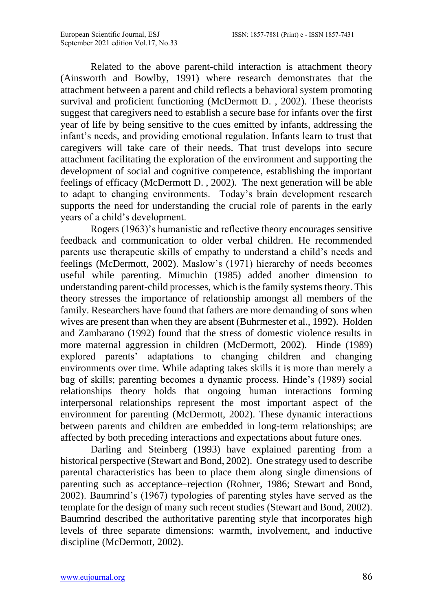Related to the above parent-child interaction is attachment theory (Ainsworth and Bowlby, 1991) where research demonstrates that the attachment between a parent and child reflects a behavioral system promoting survival and proficient functioning (McDermott D. , 2002). These theorists suggest that caregivers need to establish a secure base for infants over the first year of life by being sensitive to the cues emitted by infants, addressing the infant's needs, and providing emotional regulation. Infants learn to trust that caregivers will take care of their needs. That trust develops into secure attachment facilitating the exploration of the environment and supporting the development of social and cognitive competence, establishing the important feelings of efficacy (McDermott D. , 2002). The next generation will be able to adapt to changing environments. Today's brain development research supports the need for understanding the crucial role of parents in the early years of a child's development.

Rogers (1963)'s humanistic and reflective theory encourages sensitive feedback and communication to older verbal children. He recommended parents use therapeutic skills of empathy to understand a child's needs and feelings (McDermott, 2002). Maslow's (1971) hierarchy of needs becomes useful while parenting. Minuchin (1985) added another dimension to understanding parent-child processes, which is the family systems theory. This theory stresses the importance of relationship amongst all members of the family. Researchers have found that fathers are more demanding of sons when wives are present than when they are absent (Buhrmester et al., 1992). Holden and Zambarano (1992) found that the stress of domestic violence results in more maternal aggression in children (McDermott, 2002). Hinde (1989) explored parents' adaptations to changing children and changing environments over time. While adapting takes skills it is more than merely a bag of skills; parenting becomes a dynamic process. Hinde's (1989) social relationships theory holds that ongoing human interactions forming interpersonal relationships represent the most important aspect of the environment for parenting (McDermott, 2002). These dynamic interactions between parents and children are embedded in long-term relationships; are affected by both preceding interactions and expectations about future ones.

Darling and Steinberg (1993) have explained parenting from a historical perspective (Stewart and Bond, 2002). One strategy used to describe parental characteristics has been to place them along single dimensions of parenting such as acceptance–rejection (Rohner, 1986; Stewart and Bond, 2002). Baumrind's (1967) typologies of parenting styles have served as the template for the design of many such recent studies (Stewart and Bond, 2002). Baumrind described the authoritative parenting style that incorporates high levels of three separate dimensions: warmth, involvement, and inductive discipline (McDermott, 2002).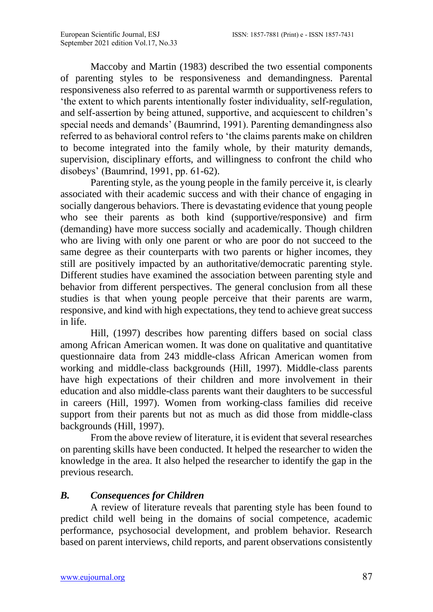Maccoby and Martin (1983) described the two essential components of parenting styles to be responsiveness and demandingness. Parental responsiveness also referred to as parental warmth or supportiveness refers to 'the extent to which parents intentionally foster individuality, self-regulation, and self-assertion by being attuned, supportive, and acquiescent to children's special needs and demands' (Baumrind, 1991). Parenting demandingness also referred to as behavioral control refers to 'the claims parents make on children to become integrated into the family whole, by their maturity demands, supervision, disciplinary efforts, and willingness to confront the child who disobeys' (Baumrind, 1991, pp. 61-62).

Parenting style, as the young people in the family perceive it, is clearly associated with their academic success and with their chance of engaging in socially dangerous behaviors. There is devastating evidence that young people who see their parents as both kind (supportive/responsive) and firm (demanding) have more success socially and academically. Though children who are living with only one parent or who are poor do not succeed to the same degree as their counterparts with two parents or higher incomes, they still are positively impacted by an authoritative/democratic parenting style. Different studies have examined the association between parenting style and behavior from different perspectives. The general conclusion from all these studies is that when young people perceive that their parents are warm, responsive, and kind with high expectations, they tend to achieve great success in life.

Hill, (1997) describes how parenting differs based on social class among African American women. It was done on qualitative and quantitative questionnaire data from 243 middle-class African American women from working and middle-class backgrounds (Hill, 1997). Middle-class parents have high expectations of their children and more involvement in their education and also middle-class parents want their daughters to be successful in careers (Hill, 1997). Women from working-class families did receive support from their parents but not as much as did those from middle-class backgrounds (Hill, 1997).

From the above review of literature, it is evident that several researches on parenting skills have been conducted. It helped the researcher to widen the knowledge in the area. It also helped the researcher to identify the gap in the previous research.

## *B. Consequences for Children*

A review of literature reveals that parenting style has been found to predict child well being in the domains of social competence, academic performance, psychosocial development, and problem behavior. Research based on parent interviews, child reports, and parent observations consistently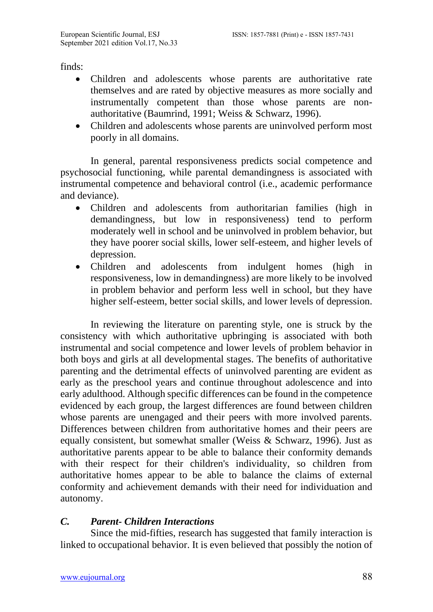finds:

- Children and adolescents whose parents are authoritative rate themselves and are rated by objective measures as more socially and instrumentally competent than those whose parents are nonauthoritative (Baumrind, 1991; Weiss & Schwarz, 1996).
- Children and adolescents whose parents are uninvolved perform most poorly in all domains.

In general, parental responsiveness predicts social competence and psychosocial functioning, while parental demandingness is associated with instrumental competence and behavioral control (i.e., academic performance and deviance).

- Children and adolescents from authoritarian families (high in demandingness, but low in responsiveness) tend to perform moderately well in school and be uninvolved in problem behavior, but they have poorer social skills, lower self-esteem, and higher levels of depression.
- Children and adolescents from indulgent homes (high in responsiveness, low in demandingness) are more likely to be involved in problem behavior and perform less well in school, but they have higher self-esteem, better social skills, and lower levels of depression.

In reviewing the literature on parenting style, one is struck by the consistency with which authoritative upbringing is associated with both instrumental and social competence and lower levels of problem behavior in both boys and girls at all developmental stages. The benefits of authoritative parenting and the detrimental effects of uninvolved parenting are evident as early as the preschool years and continue throughout adolescence and into early adulthood. Although specific differences can be found in the competence evidenced by each group, the largest differences are found between children whose parents are unengaged and their peers with more involved parents. Differences between children from authoritative homes and their peers are equally consistent, but somewhat smaller (Weiss & Schwarz, 1996). Just as authoritative parents appear to be able to balance their conformity demands with their respect for their children's individuality, so children from authoritative homes appear to be able to balance the claims of external conformity and achievement demands with their need for individuation and autonomy.

## *C. Parent- Children Interactions*

Since the mid-fifties, research has suggested that family interaction is linked to occupational behavior. It is even believed that possibly the notion of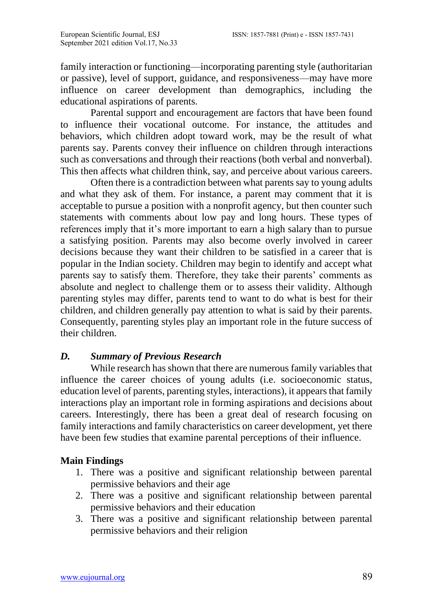family interaction or functioning—incorporating parenting style (authoritarian or passive), level of support, guidance, and responsiveness—may have more influence on career development than demographics, including the educational aspirations of parents.

Parental support and encouragement are factors that have been found to influence their vocational outcome. For instance, the attitudes and behaviors, which children adopt toward work, may be the result of what parents say. Parents convey their influence on children through interactions such as conversations and through their reactions (both verbal and nonverbal). This then affects what children think, say, and perceive about various careers.

Often there is a contradiction between what parents say to young adults and what they ask of them. For instance, a parent may comment that it is acceptable to pursue a position with a nonprofit agency, but then counter such statements with comments about low pay and long hours. These types of references imply that it's more important to earn a high salary than to pursue a satisfying position. Parents may also become overly involved in career decisions because they want their children to be satisfied in a career that is popular in the Indian society. Children may begin to identify and accept what parents say to satisfy them. Therefore, they take their parents' comments as absolute and neglect to challenge them or to assess their validity. Although parenting styles may differ, parents tend to want to do what is best for their children, and children generally pay attention to what is said by their parents. Consequently, parenting styles play an important role in the future success of their children.

## *D. Summary of Previous Research*

While research has shown that there are numerous family variables that influence the career choices of young adults (i.e. socioeconomic status, education level of parents, parenting styles, interactions), it appears that family interactions play an important role in forming aspirations and decisions about careers. Interestingly, there has been a great deal of research focusing on family interactions and family characteristics on career development, yet there have been few studies that examine parental perceptions of their influence.

## **Main Findings**

- 1. There was a positive and significant relationship between parental permissive behaviors and their age
- 2. There was a positive and significant relationship between parental permissive behaviors and their education
- 3. There was a positive and significant relationship between parental permissive behaviors and their religion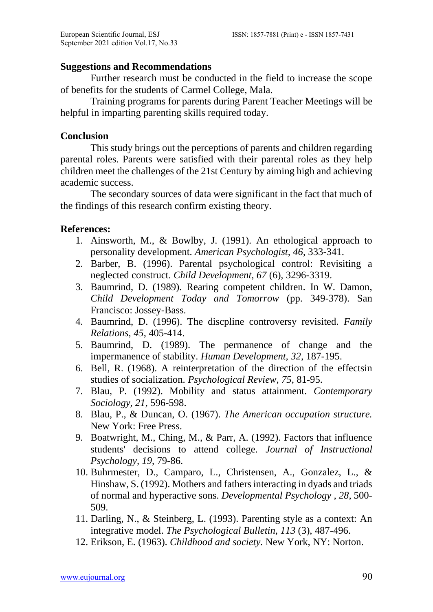#### **Suggestions and Recommendations**

Further research must be conducted in the field to increase the scope of benefits for the students of Carmel College, Mala.

Training programs for parents during Parent Teacher Meetings will be helpful in imparting parenting skills required today.

## **Conclusion**

This study brings out the perceptions of parents and children regarding parental roles. Parents were satisfied with their parental roles as they help children meet the challenges of the 21st Century by aiming high and achieving academic success.

The secondary sources of data were significant in the fact that much of the findings of this research confirm existing theory.

#### **References:**

- 1. Ainsworth, M., & Bowlby, J. (1991). An ethological approach to personality development. *American Psychologist, 46*, 333-341.
- 2. Barber, B. (1996). Parental psychological control: Revisiting a neglected construct. *Child Development, 67* (6), 3296-3319.
- 3. Baumrind, D. (1989). Rearing competent children. In W. Damon, *Child Development Today and Tomorrow* (pp. 349-378). San Francisco: Jossey-Bass.
- 4. Baumrind, D. (1996). The discpline controversy revisited. *Family Relations, 45*, 405-414.
- 5. Baumrind, D. (1989). The permanence of change and the impermanence of stability. *Human Development, 32*, 187-195.
- 6. Bell, R. (1968). A reinterpretation of the direction of the effectsin studies of socialization. *Psychological Review, 75*, 81-95.
- 7. Blau, P. (1992). Mobility and status attainment. *Contemporary Sociology, 21*, 596-598.
- 8. Blau, P., & Duncan, O. (1967). *The American occupation structure.* New York: Free Press.
- 9. Boatwright, M., Ching, M., & Parr, A. (1992). Factors that influence students' decisions to attend college. *Journal of Instructional Psychology, 19*, 79-86.
- 10. Buhrmester, D., Camparo, L., Christensen, A., Gonzalez, L., & Hinshaw, S. (1992). Mothers and fathers interacting in dyads and triads of normal and hyperactive sons. *Developmental Psychology , 28*, 500- 509.
- 11. Darling, N., & Steinberg, L. (1993). Parenting style as a context: An integrative model. *The Psychological Bulletin, 113* (3), 487-496.
- 12. Erikson, E. (1963). *Childhood and society.* New York, NY: Norton.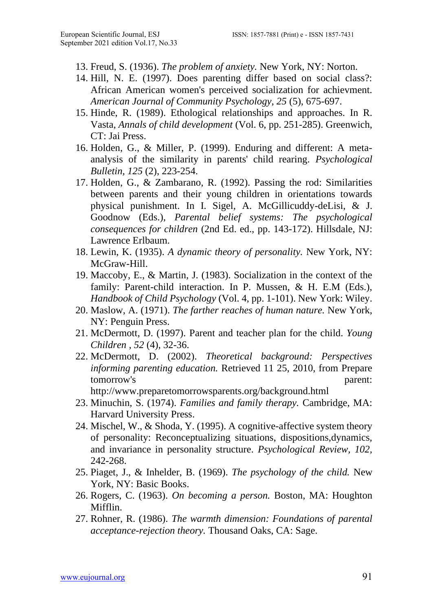- 13. Freud, S. (1936). *The problem of anxiety.* New York, NY: Norton.
- 14. Hill, N. E. (1997). Does parenting differ based on social class?: African American women's perceived socialization for achievment. *American Journal of Community Psychology, 25* (5), 675-697.
- 15. Hinde, R. (1989). Ethological relationships and approaches. In R. Vasta, *Annals of child development* (Vol. 6, pp. 251-285). Greenwich, CT: Jai Press.
- 16. Holden, G., & Miller, P. (1999). Enduring and different: A metaanalysis of the similarity in parents' child rearing. *Psychological Bulletin, 125* (2), 223-254.
- 17. Holden, G., & Zambarano, R. (1992). Passing the rod: Similarities between parents and their young children in orientations towards physical punishment. In I. Sigel, A. McGillicuddy-deLisi, & J. Goodnow (Eds.), *Parental belief systems: The psychological consequences for children* (2nd Ed. ed., pp. 143-172). Hillsdale, NJ: Lawrence Erlbaum.
- 18. Lewin, K. (1935). *A dynamic theory of personality.* New York, NY: McGraw-Hill.
- 19. Maccoby, E., & Martin, J. (1983). Socialization in the context of the family: Parent-child interaction. In P. Mussen, & H. E.M (Eds.), *Handbook of Child Psychology* (Vol. 4, pp. 1-101). New York: Wiley.
- 20. Maslow, A. (1971). *The farther reaches of human nature.* New York, NY: Penguin Press.
- 21. McDermott, D. (1997). Parent and teacher plan for the child. *Young Children , 52* (4), 32-36.
- 22. McDermott, D. (2002). *Theoretical background: Perspectives informing parenting education.* Retrieved 11 25, 2010, from Prepare tomorrow's parent:

http://www.preparetomorrowsparents.org/background.html

- 23. Minuchin, S. (1974). *Families and family therapy.* Cambridge, MA: Harvard University Press.
- 24. Mischel, W., & Shoda, Y. (1995). A cognitive-affective system theory of personality: Reconceptualizing situations, dispositions,dynamics, and invariance in personality structure. *Psychological Review, 102*, 242-268.
- 25. Piaget, J., & Inhelder, B. (1969). *The psychology of the child.* New York, NY: Basic Books.
- 26. Rogers, C. (1963). *On becoming a person.* Boston, MA: Houghton Mifflin.
- 27. Rohner, R. (1986). *The warmth dimension: Foundations of parental acceptance-rejection theory.* Thousand Oaks, CA: Sage.